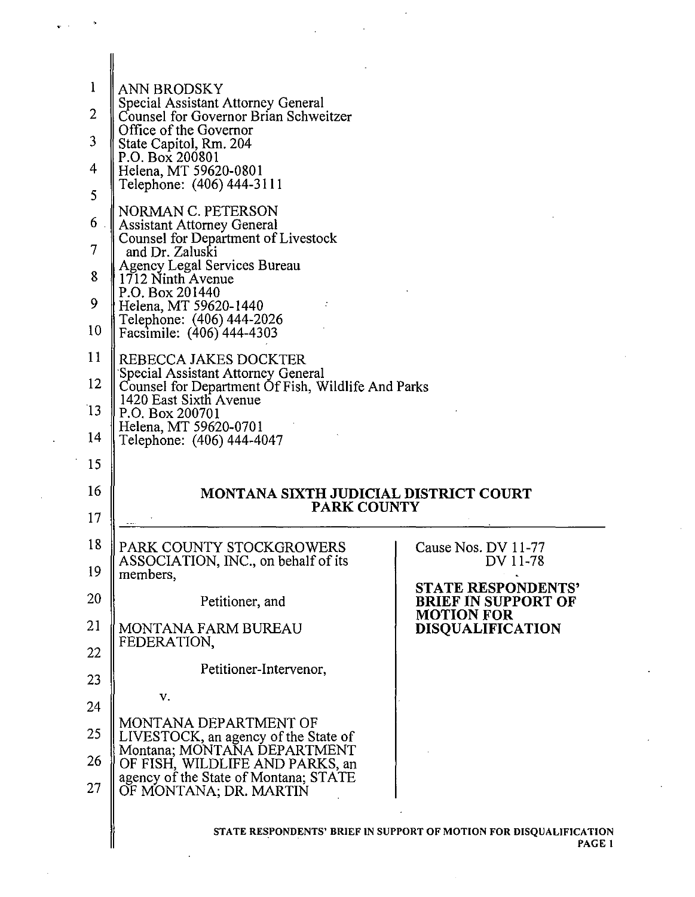| 1<br>$\overline{2}$<br>3<br>4<br>5<br>6<br>7 | ANN BRODSKY<br>Special Assistant Attorney General<br>Counsel for Governor Brian Schweitzer<br>Office of the Governor<br>State Capitol, Rm. 204<br>P.O. Box 200801<br>Helena, MT 59620-0801<br>Telephone: (406) 444-3111<br>NORMAN C. PETERSON<br><b>Assistant Attorney General</b><br><b>Counsel for Department of Livestock</b><br>and Dr. Zaluski |                                                                       |
|----------------------------------------------|-----------------------------------------------------------------------------------------------------------------------------------------------------------------------------------------------------------------------------------------------------------------------------------------------------------------------------------------------------|-----------------------------------------------------------------------|
| 8                                            | Agency Legal Services Bureau<br>1712 Ninth Avenue<br>P.O. Box 201440                                                                                                                                                                                                                                                                                |                                                                       |
| 9                                            | Helena, MT 59620-1440<br>Telephone: (406) 444-2026                                                                                                                                                                                                                                                                                                  |                                                                       |
| 10                                           | Facsimile: (406) 444-4303                                                                                                                                                                                                                                                                                                                           |                                                                       |
| 11<br>12                                     | REBECCA JAKES DOCKTER<br>Special Assistant Attorney General                                                                                                                                                                                                                                                                                         |                                                                       |
| 13                                           | Counsel for Department Of Fish, Wildlife And Parks<br>1420 East Sixth Avenue<br>P.O. Box 200701                                                                                                                                                                                                                                                     |                                                                       |
| 14                                           | Helena, MT 59620-0701<br>Telephone: (406) 444-4047                                                                                                                                                                                                                                                                                                  |                                                                       |
| 15                                           |                                                                                                                                                                                                                                                                                                                                                     |                                                                       |
|                                              |                                                                                                                                                                                                                                                                                                                                                     |                                                                       |
| 16                                           | <b>MONTANA SIXTH JUDICIAL DISTRICT COURT</b>                                                                                                                                                                                                                                                                                                        |                                                                       |
| 17                                           | <b>PARK COUNTY</b>                                                                                                                                                                                                                                                                                                                                  |                                                                       |
| 18                                           | PARK COUNTY STOCKGROWERS                                                                                                                                                                                                                                                                                                                            | Cause Nos. DV 11-77                                                   |
| 19                                           | ASSOCIATION, INC., on behalf of its<br>members,                                                                                                                                                                                                                                                                                                     | DV 11-78                                                              |
| 20                                           | Petitioner, and                                                                                                                                                                                                                                                                                                                                     | STATE RESPONDENTS'<br><b>BRIEF IN SUPPORT OF</b><br><b>MOTION FOR</b> |
| 21                                           | <b>MONTANA FARM BUREAU</b><br>FEDERATION.                                                                                                                                                                                                                                                                                                           | <b>DISQUALIFICATION</b>                                               |
| 22                                           | Petitioner-Intervenor,                                                                                                                                                                                                                                                                                                                              |                                                                       |
| 23                                           | v.                                                                                                                                                                                                                                                                                                                                                  |                                                                       |
| 24                                           | MONTANA DEPARTMENT OF                                                                                                                                                                                                                                                                                                                               |                                                                       |
| 25<br>26                                     | LIVESTOCK, an agency of the State of<br>Montana; MONTANA DEPARTMENT                                                                                                                                                                                                                                                                                 |                                                                       |
| 27                                           | OF FISH, WILDLIFE AND PARKS, an<br>agency of the State of Montana; STATE<br>OF MONTANA; DR. MARTIN                                                                                                                                                                                                                                                  |                                                                       |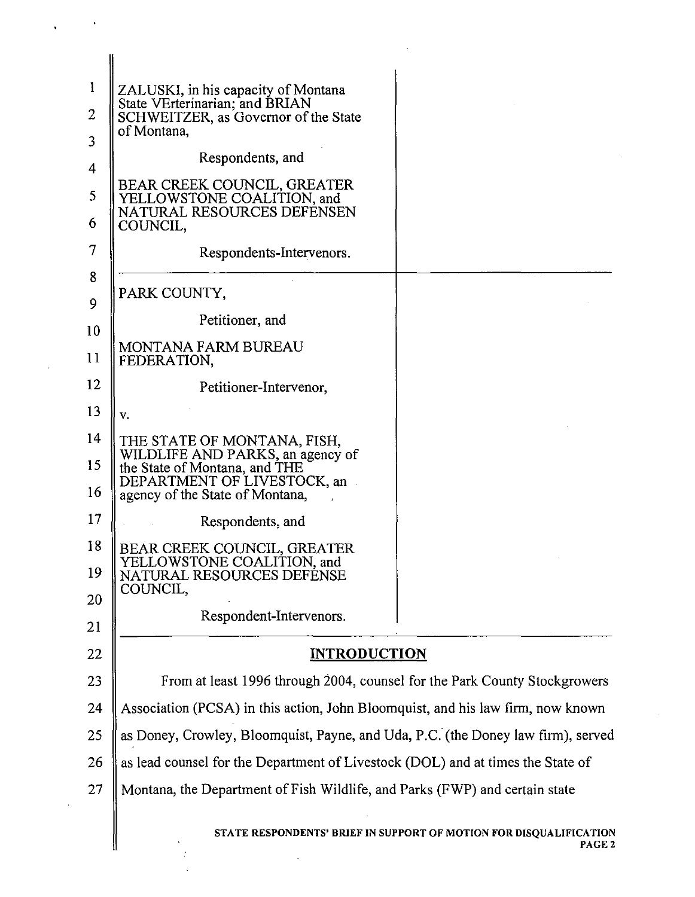| 1<br>2   | ZALUSKI, in his capacity of Montana<br>State VErterinarian; and BRIAN<br>SCHWEITZER, as Governor of the State<br>of Montana,        |                                                                                         |
|----------|-------------------------------------------------------------------------------------------------------------------------------------|-----------------------------------------------------------------------------------------|
| 3        | Respondents, and                                                                                                                    |                                                                                         |
| 4        | BEAR CREEK COUNCIL, GREATER<br>YELLOWSTONE COALITION, and                                                                           |                                                                                         |
| 5<br>6   | NATURAL RESOURCES DEFÉNSEN<br>COUNCIL,                                                                                              |                                                                                         |
| 7        | Respondents-Intervenors.                                                                                                            |                                                                                         |
| 8<br>9   | PARK COUNTY,                                                                                                                        |                                                                                         |
| 10       | Petitioner, and                                                                                                                     |                                                                                         |
| 11       | MONTANA FARM BUREAU<br>FEDERATION,                                                                                                  |                                                                                         |
| 12       | Petitioner-Intervenor,                                                                                                              |                                                                                         |
| 13       | v.                                                                                                                                  |                                                                                         |
| 14       | THE STATE OF MONTANA, FISH,                                                                                                         |                                                                                         |
| 15<br>16 | WILDLIFE AND PARKS, an agency of<br>the State of Montana, and THE<br>DEPARTMENT OF LIVESTOCK, an<br>agency of the State of Montana, |                                                                                         |
| 17       | Respondents, and                                                                                                                    |                                                                                         |
| 18       | BEAR CREEK COUNCIL, GREATER                                                                                                         |                                                                                         |
| 19       | YELLOWSTONE COALITION, and<br>NATURAL RESOURCES DEFENSE<br>COUNCIL,                                                                 |                                                                                         |
| 20       | Respondent-Intervenors.                                                                                                             |                                                                                         |
| 21       |                                                                                                                                     |                                                                                         |
| 22       | <b>INTRODUCTION</b>                                                                                                                 |                                                                                         |
| 23       | From at least 1996 through 2004, counsel for the Park County Stockgrowers                                                           |                                                                                         |
| 24       | Association (PCSA) in this action, John Bloomquist, and his law firm, now known                                                     |                                                                                         |
| 25       | as Doney, Crowley, Bloomquist, Payne, and Uda, P.C. (the Doney law firm), served                                                    |                                                                                         |
| 26       | as lead counsel for the Department of Livestock (DOL) and at times the State of                                                     |                                                                                         |
| 27       | Montana, the Department of Fish Wildlife, and Parks (FWP) and certain state                                                         |                                                                                         |
|          |                                                                                                                                     | STATE RESPONDENTS' BRIEF IN SUPPORT OF MOTION FOR DISQUALIFICATION<br>PAGE <sub>2</sub> |

 $\ddot{\phantom{0}}$ 

 $\bar{z}$ 

 $\frac{1}{2}$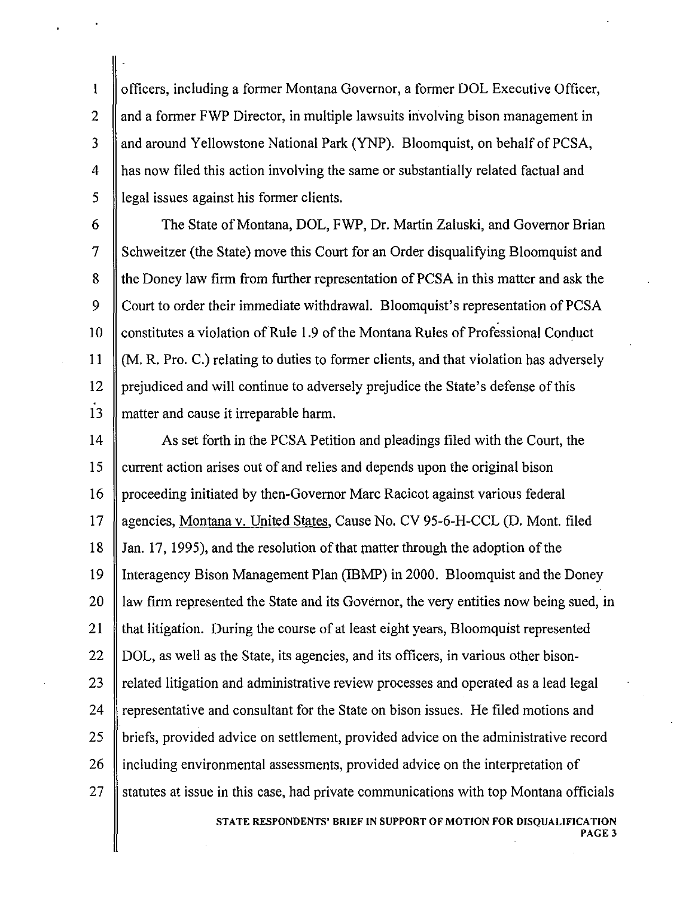officers, including a former Montana Governor, a former DOL Executive Officer, 2  $\parallel$  and a former FWP Director, in multiple lawsuits involving bison management in 3 And around Yellowstone National Park (YNP). Bloomquist, on behalf of PCSA, 4 has now filed this action involving the same or substantially related factual and  $\frac{1}{5}$  legal issues against his former clients.

 $\mathbf{I}$ 

6 The State of Montana, DOL, FWP, Dr. Martin Zaluski, and Governor Brian 7 Schweitzer (the State) move this Court for an Order disqualifying Bloomquist and 8 the Doney law firm from further representation of PCSA in this matter and ask the 9 Court to order their immediate withdrawal. Bloomquist's representation of PCSA 10 Constitutes a violation of Rule 1.9 of the Montana Rules of Professional Conduct 11 (M. R. Pro. C.) relating to duties to former clients, and that violation has adversely 12 prejudiced and will continue to adversely prejudice the State's defense of this 13 matter and cause it irreparable harm.

14 As set forth in the PCSA Petition and pleadings filed with the Court, the 15 current action arises out of and relies and depends upon the original bison 16 | proceeding initiated by then-Governor Marc Racicot against various federal 17 agencies, Montana v. United States, Cause No. CV 95-6-H-CCL (D. Mont. filed 18 Jan. 17, 1995), and the resolution of that matter through the adoption of the 19 Interagency Bison Management Plan (IBMP) in 2000. Bloomquist and the Doney 20 I law firm represented the State and its Governor, the very entities now being sued, in 21 that litigation. During the course of at least eight years, Bloomquist represented  $22 \parallel$  DOL, as well as the State, its agencies, and its officers, in various other bison-23  $\parallel$  related litigation and administrative review processes and operated as a lead legal 24 representative and consultant for the State on bison issues. He filed motions and 25 | briefs, provided advice on settlement, provided advice on the administrative record 26 If including environmental assessments, provided advice on the interpretation of 27  $\parallel$  statutes at issue in this case, had private communications with top Montana officials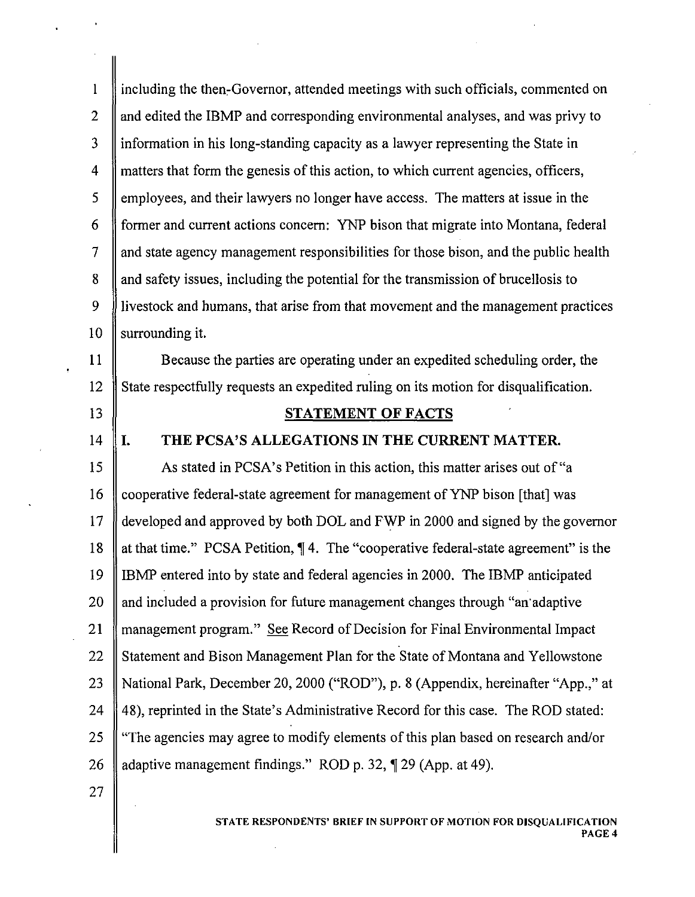$\mathbf{1}$ including the then-Governor, attended meetings with such officials, commented on 2  $\parallel$  and edited the IBMP and corresponding environmental analyses, and was privy to 3 | information in his long-standing capacity as a lawyer representing the State in  $\parallel$  matters that form the genesis of this action, to which current agencies, officers,  $\frac{1}{5}$  employees, and their lawyers no longer have access. The matters at issue in the 6 former and current actions concern: YNP bison that migrate into Montana, federal  $7 \parallel$  and state agency management responsibilities for those bison, and the public health 8 and safety issues, including the potential for the transmission of brucellosis to 9 livestock and humans, that arise from that movement and the management practices 10  $\parallel$  surrounding it.

11 Because the parties are operating under an expedited scheduling order, the 12 State respectfully requests an expedited ruling on its motion for disqualification.

- 13 STATEMENT OF FACTS
- 

# 14 I. THE PCSA'S ALLEGATIONS IN THE CURRENT MATTER.

15 As stated in PCSA's Petition in this action, this matter arises out of "a 16 cooperative federal-state agreement for management of YNP bison [that] was 17 developed and approved by both DOL and FWP in 2000 and signed by the governor 18 || at that time." PCSA Petition, 14. The "cooperative federal-state agreement" is the 19 IBMP entered into by state and federal agencies in 2000. The IBMP anticipated 20 || and included a provision for future management changes through "an'adaptive" 21 || management program." See Record of Decision for Final Environmental Impact 22 Statement and Bison Management Plan for the State of Montana and Yellowstone 23 National Park, December 20,2000 ("ROD"), p. 8 (Appendix, hereinafter "App.," at 24  $\parallel$  48), reprinted in the State's Administrative Record for this case. The ROD stated: 25 "The agencies may agree to modify elements of this plan based on research and/or 26  $\parallel$  adaptive management findings." ROD p. 32,  $\P$  29 (App. at 49).

27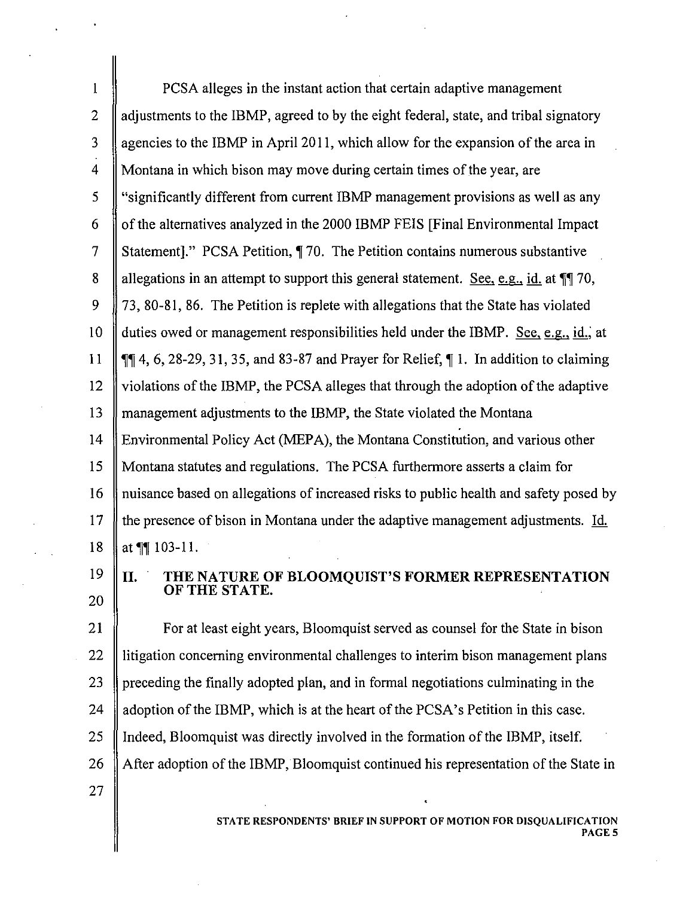I PCSA alleges in the instant action that certain adaptive management  $\parallel$  adjustments to the IBMP, agreed to by the eight federal, state, and tribal signatory 3 All agencies to the IBMP in April 2011, which allow for the expansion of the area in  $\parallel$  Montana in which bison may move during certain times of the year, are  $\parallel$  "significantly different from current IBMP management provisions as well as any  $\parallel$  of the alternatives analyzed in the 2000 IBMP FEIS [Final Environmental Impact] 7 Statement]." PCSA Petition, 170. The Petition contains numerous substantive 8 Allegations in an attempt to support this general statement. See, e.g., id. at  $\mathbb{M}$  70, 9 | 73, 80-81, 86. The Petition is replete with allegations that the State has violated  $\parallel$  duties owed or management responsibilities held under the IBMP. See, e.g., id., at  $\parallel \mathbb{q} \parallel 4$ , 6, 28-29, 31, 35, and 83-87 and Prayer for Relief,  $\parallel$  1. In addition to claiming  $\parallel$  violations of the IBMP, the PCSA alleges that through the adoption of the adaptive management adjustments to the IBMP, the State violated the Montana Environmental Policy Act (MEPA), the Montana Constitution, and various other Montana statutes and regulations. The PCSA furthermore asserts a claim for nuisance based on allegations of increased risks to public health and safety posed by 17 If the presence of bison in Montana under the adaptive management adjustments. Id.  $\|$  at  $\P$  103-11.

20

27

#### $19$   $\parallel$  **II**. THE NATURE OF BLOOMQUIST'S FORMER REPRESENTATION OF THE STATE.

21 **For at least eight years, Bloomquist served as counsel for the State in bison** 22 II litigation concerning environmental challenges to interim bison management plans 23 preceding the finally adopted plan, and in formal negotiations culminating in the 24  $\parallel$  adoption of the IBMP, which is at the heart of the PCSA's Petition in this case. 25  $\parallel$  Indeed, Bloomquist was directly involved in the formation of the IBMP, itself. 26 After adoption of the IBMP, Bloomquist continued his representation of the State in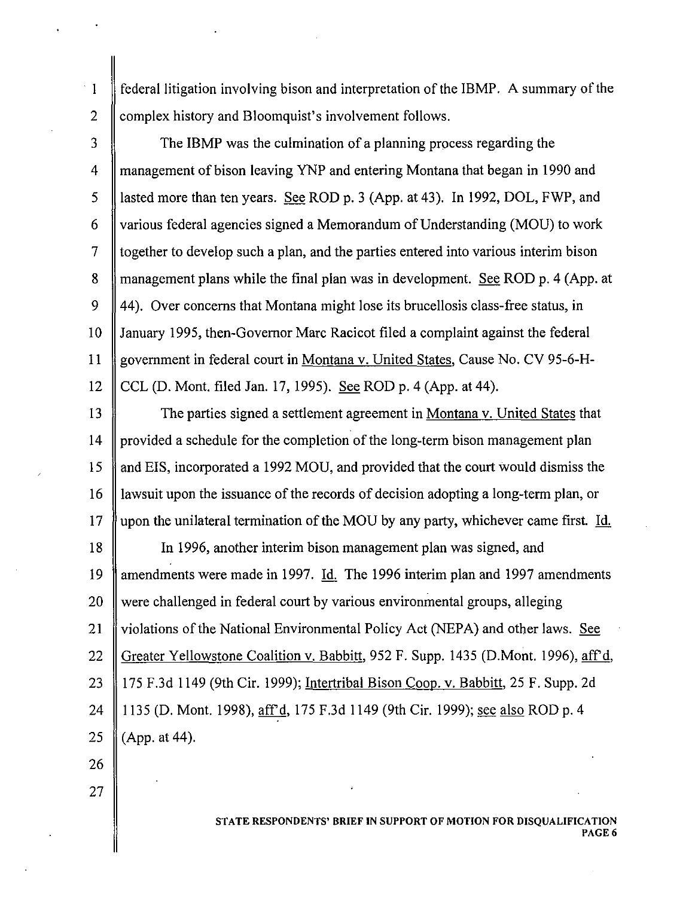federal litigation involving bison and interpretation of the IBMP. A summary of the  $\mathbf{I}$ 2 Complex history and Bloomquist's involvement follows.

3 The IBMP was the culmination of a planning process regarding the 4 management of bison leaving YNP and entering Montana that began in 1990 and 5 lasted more than ten years. See ROD p. 3 (App. at 43). In 1992, DOL, FWP, and 6 various federal agencies signed a Memorandum of Understanding (MOU) to work  $\frac{7}{7}$  together to develop such a plan, and the parties entered into various interim bison 8 management plans while the final plan was in development. See ROD p. 4 (App. at 9 44). Over concerns that Montana might lose its brucellosis class-free status, in 10 January 1995, then-Governor Marc Racicot filed a complaint against the federal **11** government in federal court in Montana v. United States, Cause No. CV 95-6-H-12  $\parallel$  CCL (D. Mont. filed Jan. 17, 1995). See ROD p. 4 (App. at 44).

13 The parties signed a settlement agreement in Montana v. United States that 14 provided a schedule for the completion of the long-term bison management plan 15 and EIS, incorporated a 1992 MOU, and provided that the court would dismiss the 16 I lawsuit upon the issuance of the records of decision adopting a long-term plan, or 17 || upon the unilateral termination of the MOU by any party, whichever came first. Id. 18 In 1996, another interim bison management plan was signed, and 19 mendments were made in 1997. Id. The 1996 interim plan and 1997 amendments 20 were challenged in federal court by various environmental groups, alleging 21 *Solutions* of the National Environmental Policy Act (NEPA) and other laws. See 22 Greater Yellowstone Coalition v. Babbitt, 952 F. Supp. 1435 (D.Mont. 1996), aff'd, 23 175 F.3d 1149 (9th Cir. 1999); Intertribal Bison Coop. v. Babbitt, 25 F. Supp. 2d 24 || 1135 (D. Mont. 1998), af r<sup>o</sup>d, 175 F.3d 1149 (9th Cir. 1999); <u>see also</u> ROD p. 4 25  $(App. at 44)$ .

26

27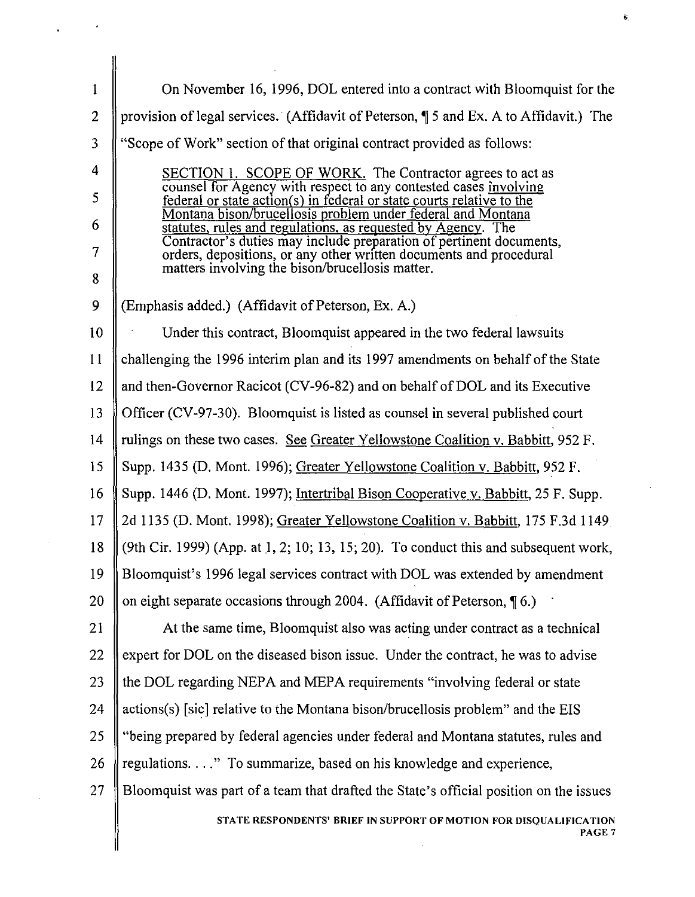| $\mathbf{l}$   | On November 16, 1996, DOL entered into a contract with Bloomquist for the                                                                 |
|----------------|-------------------------------------------------------------------------------------------------------------------------------------------|
| $\overline{2}$ | provision of legal services. (Affidavit of Peterson, ¶ 5 and Ex. A to Affidavit.) The                                                     |
| 3              | "Scope of Work" section of that original contract provided as follows:                                                                    |
| 4              | SECTION 1. SCOPE OF WORK. The Contractor agrees to act as                                                                                 |
| 5              | counsel for Agency with respect to any contested cases involving<br>federal or state action(s) in federal or state courts relative to the |
| 6              | Montana bison/brucellosis problem under federal and Montana<br>statutes, rules and regulations, as requested by Agency. The               |
| 7              | Contractor's duties may include preparation of pertinent documents,<br>orders, depositions, or any other written documents and procedural |
| 8              | matters involving the bison/brucellosis matter.                                                                                           |
| 9              | (Emphasis added.) (Affidavit of Peterson, Ex. A.)                                                                                         |
| 10             | Under this contract, Bloomquist appeared in the two federal lawsuits                                                                      |
| 11             | challenging the 1996 interim plan and its 1997 amendments on behalf of the State                                                          |
| 12             | and then-Governor Racicot (CV-96-82) and on behalf of DOL and its Executive                                                               |
| 13             | Officer (CV-97-30). Bloomquist is listed as counsel in several published court                                                            |
| 14             | rulings on these two cases. See Greater Yellowstone Coalition v. Babbitt, 952 F.                                                          |
| 15             | Supp. 1435 (D. Mont. 1996); Greater Yellowstone Coalition v. Babbitt, 952 F.                                                              |
| 16             | Supp. 1446 (D. Mont. 1997); Intertribal Bison Cooperative v. Babbitt, 25 F. Supp.                                                         |
| 17             | 2d 1135 (D. Mont. 1998); Greater Yellowstone Coalition v. Babbitt, 175 F.3d 1149                                                          |
| 18             | (9th Cir. 1999) (App. at 1, 2; 10; 13, 15; 20). To conduct this and subsequent work,                                                      |
| 19             | Bloomquist's 1996 legal services contract with DOL was extended by amendment                                                              |
| 20             | on eight separate occasions through 2004. (Affidavit of Peterson, $\P$ 6.)                                                                |
| 21             | At the same time, Bloomquist also was acting under contract as a technical                                                                |
| 22             | expert for DOL on the diseased bison issue. Under the contract, he was to advise                                                          |
| 23             | the DOL regarding NEPA and MEPA requirements "involving federal or state                                                                  |
| 24             | actions(s) [sic] relative to the Montana bison/brucellosis problem" and the EIS                                                           |
| 25             | "being prepared by federal agencies under federal and Montana statutes, rules and                                                         |
| 26             | regulations. " To summarize, based on his knowledge and experience,                                                                       |
| 27             | Bloomquist was part of a team that drafted the State's official position on the issues                                                    |
|                | STATE RESPONDENTS' BRIEF IN SUPPORT OF MOTION FOR DISQUALIFICATION<br>PAGE 7                                                              |
|                |                                                                                                                                           |

 $\Delta \phi = 0.001$ 

 $\Delta \sim 10^{11}$ 

 $\hat{\mathbf{s}}$ 

 $\sim$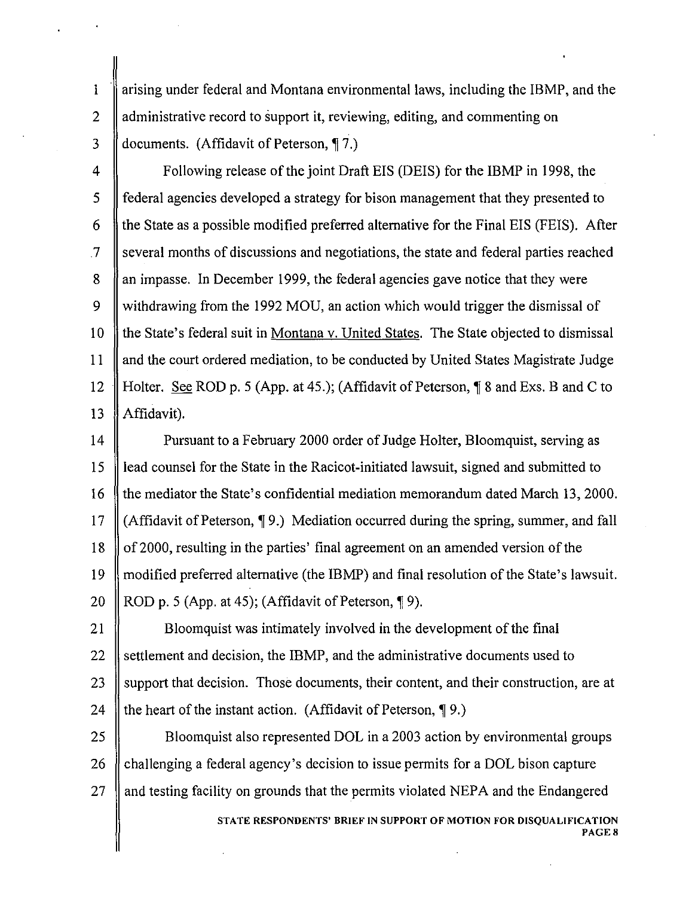1 arising under federal and Montana environmental laws, including the IBMP, and the 2  $\parallel$  administrative record to support it, reviewing, editing, and commenting on 3  $\parallel$  documents. (Affidavit of Peterson,  $\P$  7.)

4 **Following release of the joint Draft EIS (DEIS) for the IBMP in 1998, the** 5 federal agencies developed a strategy for bison management that they presented to 6 the State as a possible modified preferred alternative for the Final EIS (FEIS). After  $\mathcal{I}$  several months of discussions and negotiations, the state and federal parties reached 8 an impasse. In December 1999, the federal agencies gave notice that they were 9 Withdrawing from the 1992 MOU, an action which would trigger the dismissal of 10 f the State's federal suit in Montana v. United States. The State objected to dismissal 11 and the court ordered mediation, to be conducted by United States Magistrate Judge 12 Holter. See ROD p. 5 (App. at 45.); (Affidavit of Peterson, 18 and Exs. B and C to 13 | Affidavit).

14 **Pursuant to a February 2000 order of Judge Holter, Bloomquist, serving as** 15 lead counsel for the State in the Racicot-initiated lawsuit, signed and submitted to 16 the mediator the State's confidential mediation memorandum dated March 13, 2000. 17  $\parallel$  (Affidavit of Peterson,  $\P$ 9.) Mediation occurred during the spring, summer, and fall 18 of 2000, resulting in the parties' final agreement on an amended version of the 19 || modified preferred alternative (the IBMP) and final resolution of the State's lawsuit. 20 ROD p. 5 (App. at 45); (Affidavit of Peterson,  $\lceil 9 \rceil$ .

21  $\parallel$  Bloomquist was intimately involved in the development of the final 22 settlement and decision, the IBMP, and the administrative documents used to 23 Support that decision. Those documents, their content, and their construction, are at 24  $\parallel$  the heart of the instant action. (Affidavit of Peterson,  $\P$ 9.)

25 **Bloomquist also represented DOL** in a 2003 action by environmental groups 26  $\parallel$  challenging a federal agency's decision to issue permits for a DOL bison capture  $27$  and testing facility on grounds that the permits violated NEPA and the Endangered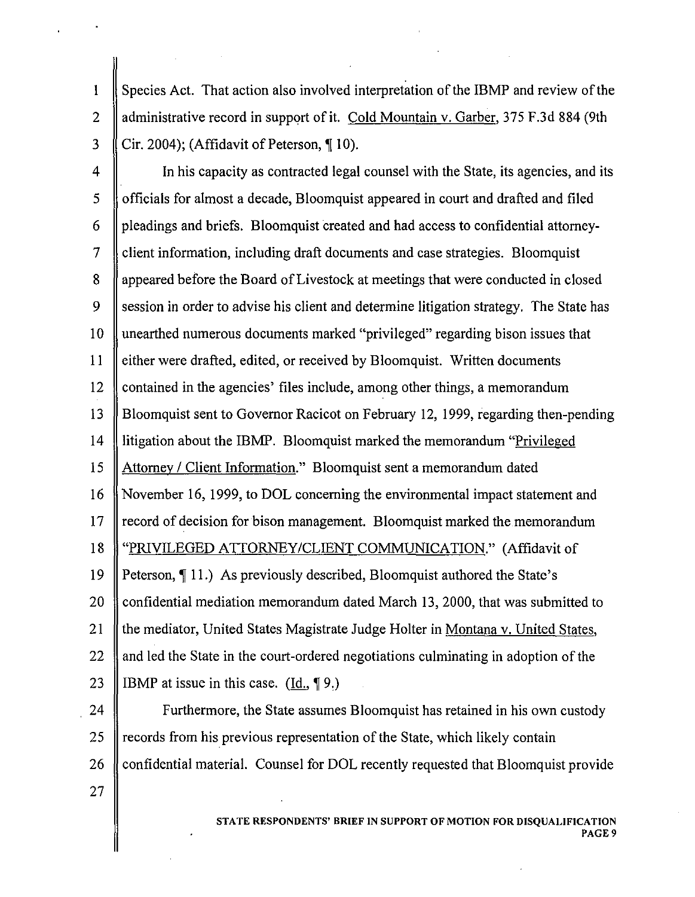1  $\parallel$  Species Act. That action also involved interpretation of the IBMP and review of the 2 Administrative record in support of it. Cold Mountain v. Garber, 375 F.3d 884 (9th  $\parallel$  Cir. 2004); (Affidavit of Peterson,  $\P$  10).

4  $\parallel$  In his capacity as contracted legal counsel with the State, its agencies, and its 5 officials for almost a decade, Bloomquist appeared in court and drafted and filed  $6 \parallel$  pleadings and briefs. Bloomquist created and had access to confidential attorney- $7 \parallel$  client information, including draft documents and case strategies. Bloomquist 8 Appeared before the Board of Livestock at meetings that were conducted in closed 9 Session in order to advise his client and determine litigation strategy. The State has 10 unearthed numerous documents marked "privileged" regarding bison issues that 11 either were drafted, edited, or received by Bloomquist. Written documents 12 contained in the agencies' files include, among other things, a memorandum 13 Bloomquist sent to Governor Racicot on February 12, 1999, regarding then-pending 14 litigation about the IBMP. Bloomquist marked the memorandum "Privileged 15 Attorney / Client Information." Bloomquist sent a memorandum dated 16 November 16, 1999, to DOL concerning the environmental impact statement and  $17 \parallel$  record of decision for bison management. Bloomquist marked the memorandum 18 "PRIVILEGED ATTORNEY/CLIENT COMMUNICATION." (Affidavit of 19 Peterson,  $\P$  11.) As previously described, Bloomquist authored the State's 20 confidential mediation memorandum dated March 13, 2000, that was submitted to 21  $\parallel$  the mediator, United States Magistrate Judge Holter in Montana v. United States, 22  $\parallel$  and led the State in the court-ordered negotiations culminating in adoption of the 23 || IBMP at issue in this case. (Id.,  $\P$ 9.)

**Furthermore, the State assumes Bloomquist has retained in his own custody**  $\parallel$  records from his previous representation of the State, which likely contain confidential material. Counsel for DOL recently requested that Bloomquist provide 27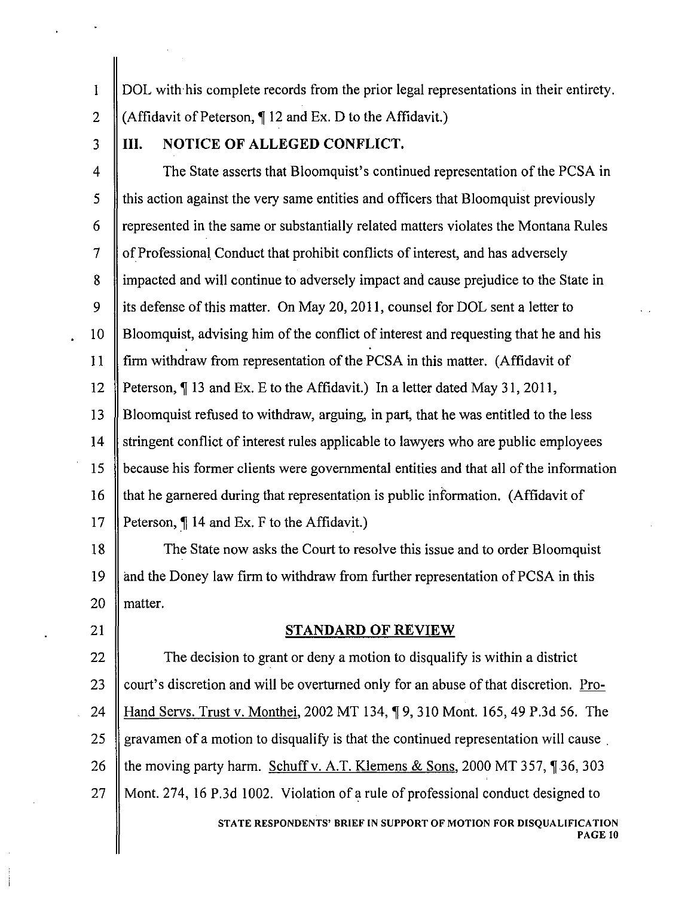1 DOL with his complete records from the prior legal representations in their entirety. 2  $\parallel$  (Affidavit of Peterson,  $\P$  12 and Ex. D to the Affidavit.)

# 3 **III. NOTICE OF ALLEGED CONFLICT.**

4 **The State asserts that Bloomquist's continued representation of the PCSA in**  $\frac{1}{5}$  this action against the very same entities and officers that Bloomquist previously 6  $\parallel$  represented in the same or substantially related matters violates the Montana Rules  $7 \parallel$  of Professional Conduct that prohibit conflicts of interest, and has adversely 8 impacted and will continue to adversely impact and cause prejudice to the State in 9 | its defense of this matter. On May 20, 2011, counsel for DOL sent a letter to 10 Bloomquist, advising him of the conflict of interest and requesting that he and his 11  $\parallel$  firm withdraw from representation of the PCSA in this matter. (Affidavit of 12 Peterson, 13 and Ex. E to the Affidavit.) In a letter dated May 31, 2011, 13 Bloomquist refused to withdraw, arguing, in part, that he was entitled to the less 14 Stringent conflict of interest rules applicable to lawyers who are public employees 15 **because his former clients were governmental entities and that all of the information** 16  $\parallel$  that he garnered during that representation is public information. (Affidavit of 17 | Peterson,  $\P$  14 and Ex. F to the Affidavit.)

18 The State now asks the Court to resolve this issue and to order Bloomquist 19 and the Doney law firm to withdraw from further representation of PCSA in this 20 || matter.

### 21 || STANDARD OF REVIEW

22  $\parallel$  The decision to grant or deny a motion to disqualify is within a district 23  $\parallel$  court's discretion and will be overturned only for an abuse of that discretion. Pro-24 Hand Servs. Trust v. Monthei, 2002 MT 134, 19, 310 Mont. 165, 49 P.3d 56. The 25 gravamen of a motion to disqualify is that the continued representation will cause 26 the moving party harm. Schuff v. A.T. Klemens & Sons, 2000 MT 357,  $\parallel$  36, 303 27 Mont. 274,16 P.3d 1002. Violation ofa rule of professional conduct designed to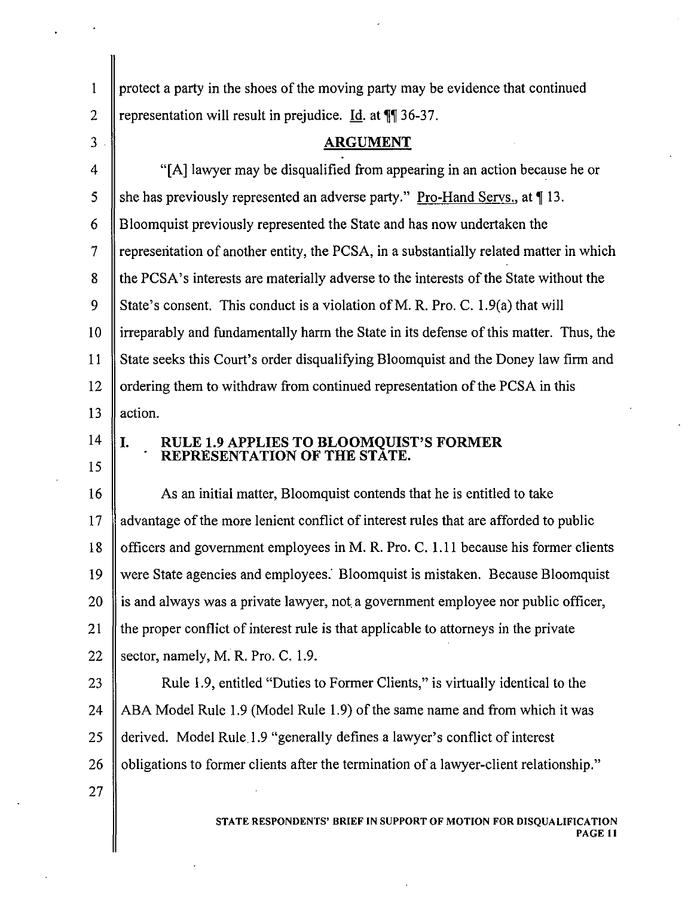| $\mathbf{1}$   | protect a party in the shoes of the moving party may be evidence that continued        |
|----------------|----------------------------------------------------------------------------------------|
| $\overline{2}$ | representation will result in prejudice. Id. at ¶¶ 36-37.                              |
| 3              | <b>ARGUMENT</b>                                                                        |
| 4              | "[A] lawyer may be disqualified from appearing in an action because he or              |
| 5              | she has previously represented an adverse party." Pro-Hand Servs., at 113.             |
| 6              | Bloomquist previously represented the State and has now undertaken the                 |
| $\tau$         | representation of another entity, the PCSA, in a substantially related matter in which |
| 8              | the PCSA's interests are materially adverse to the interests of the State without the  |
| 9              | State's consent. This conduct is a violation of M. R. Pro. C. 1.9(a) that will         |
| 10             | irreparably and fundamentally harm the State in its defense of this matter. Thus, the  |
| 11             | State seeks this Court's order disqualifying Bloomquist and the Doney law firm and     |
| 12             | ordering them to withdraw from continued representation of the PCSA in this            |
| 13             | action.                                                                                |
| 14             | RULE 1.9 APPLIES TO BLOOMQUIST'S FORMER<br>I.                                          |
| 15             | REPRESENTATION OF THE STATE.                                                           |
| 16             | As an initial matter, Bloomquist contends that he is entitled to take                  |
| 17             | advantage of the more lenient conflict of interest rules that are afforded to public   |
| 18             | officers and government employees in M. R. Pro. C. 1.11 because his former clients     |
| 19             | were State agencies and employees. Bloomquist is mistaken. Because Bloomquist          |
| 20             | is and always was a private lawyer, not a government employee nor public officer,      |
| 21             | the proper conflict of interest rule is that applicable to attorneys in the private    |
| 22             | sector, namely, M. R. Pro. C. 1.9.                                                     |
| 23             | Rule 1.9, entitled "Duties to Former Clients," is virtually identical to the           |
| 24             | ABA Model Rule 1.9 (Model Rule 1.9) of the same name and from which it was             |
| 25             | derived. Model Rule 1.9 "generally defines a lawyer's conflict of interest             |
| 26             | obligations to former clients after the termination of a lawyer-client relationship."  |
| 27             |                                                                                        |
|                | STATE RESPONDENTS' BRIEF IN SUPPORT OF MOTION FOR DISQUALIFICATION<br>PAGE 11          |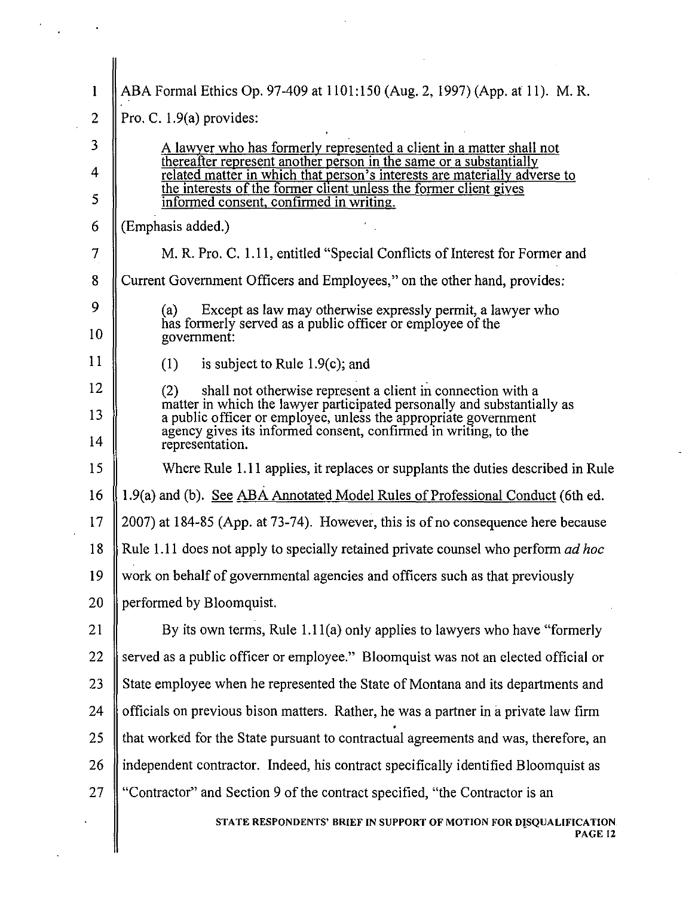| 1              | ABA Formal Ethics Op. 97-409 at 1101:150 (Aug. 2, 1997) (App. at 11). M. R.                                                                                                                                   |
|----------------|---------------------------------------------------------------------------------------------------------------------------------------------------------------------------------------------------------------|
| $\overline{2}$ | Pro. C. $1.9(a)$ provides:                                                                                                                                                                                    |
| 3              | A lawyer who has formerly represented a client in a matter shall not                                                                                                                                          |
| $\overline{4}$ | thereafter represent another person in the same or a substantially<br>related matter in which that person's interests are materially adverse to                                                               |
| 5              | the interests of the former client unless the former client gives<br>informed consent, confirmed in writing.                                                                                                  |
| 6              | (Emphasis added.)                                                                                                                                                                                             |
| 7              | M. R. Pro. C. 1.11, entitled "Special Conflicts of Interest for Former and                                                                                                                                    |
| 8              | Current Government Officers and Employees," on the other hand, provides:                                                                                                                                      |
| 9              | Except as law may otherwise expressly permit, a lawyer who<br>(a)                                                                                                                                             |
| 10             | has formerly served as a public officer or employee of the<br>government:                                                                                                                                     |
| 11             | is subject to Rule $1.9(c)$ ; and<br>(1)                                                                                                                                                                      |
| 12             | shall not otherwise represent a client in connection with a<br>(2)                                                                                                                                            |
| 13             | matter in which the lawyer participated personally and substantially as<br>a public officer or employee, unless the appropriate government<br>agency gives its informed consent, confirmed in writing, to the |
| 14             | representation.                                                                                                                                                                                               |
| 15             | Where Rule 1.11 applies, it replaces or supplants the duties described in Rule                                                                                                                                |
| 16             | 1.9(a) and (b). See ABA Annotated Model Rules of Professional Conduct (6th ed.                                                                                                                                |
| 17             | 2007) at 184-85 (App. at 73-74). However, this is of no consequence here because                                                                                                                              |
| 18             | Rule 1.11 does not apply to specially retained private counsel who perform <i>ad hoc</i>                                                                                                                      |
| 19             | work on behalf of governmental agencies and officers such as that previously                                                                                                                                  |
| 20             | performed by Bloomquist.                                                                                                                                                                                      |
| 21             | By its own terms, Rule $1.11(a)$ only applies to lawyers who have "formerly"                                                                                                                                  |
| 22             | served as a public officer or employee." Bloomquist was not an elected official or                                                                                                                            |
| 23             | State employee when he represented the State of Montana and its departments and                                                                                                                               |
| 24             | officials on previous bison matters. Rather, he was a partner in a private law firm                                                                                                                           |
| 25             | that worked for the State pursuant to contractual agreements and was, therefore, an                                                                                                                           |
| 26             | independent contractor. Indeed, his contract specifically identified Bloomquist as                                                                                                                            |
| 27             | "Contractor" and Section 9 of the contract specified, "the Contractor is an                                                                                                                                   |
|                | STATE RESPONDENTS' BRIEF IN SUPPORT OF MOTION FOR DISQUALIFICATION.<br><b>PAGE 12</b>                                                                                                                         |
|                |                                                                                                                                                                                                               |

 $\frac{1}{2}$ 

 $\label{eq:2} \frac{d\mathbf{y}}{d\mathbf{x}} = \frac{d\mathbf{y}}{d\mathbf{x}} \mathbf{y} + \frac{d\mathbf{y}}{d\mathbf{x}} \mathbf{y}$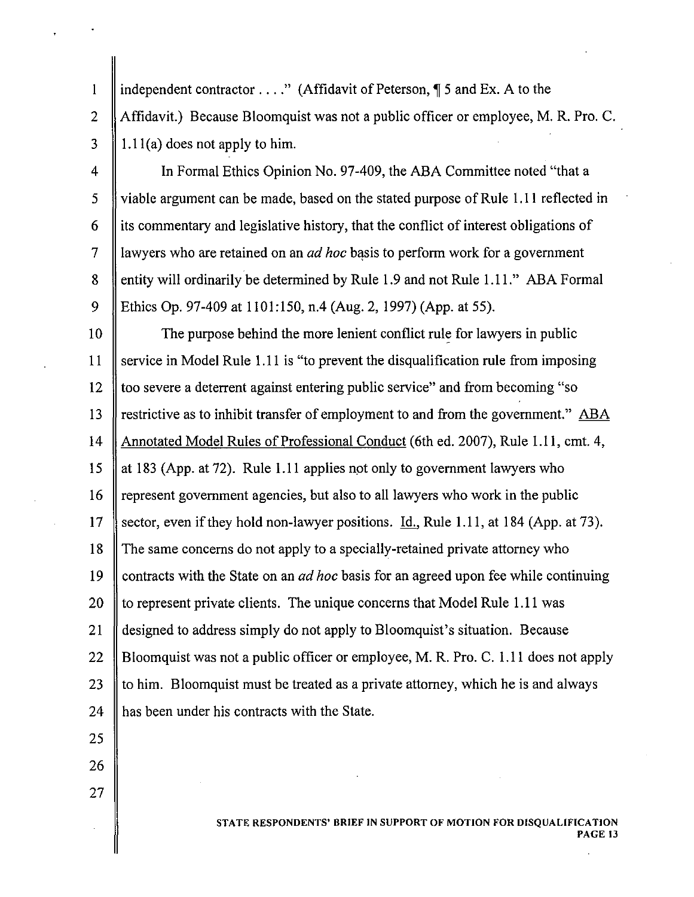independent contractor  $\dots$ ." (Affidavit of Peterson,  $\P$  5 and Ex. A to the 2 Affidavit.) Because Bloomquist was not a public officer or employee, M. R. Pro. C.  $3 \parallel 1.11(a)$  does not apply to him.

 $\mathbf{1}$ 

4 | In Formal Ethics Opinion No. 97-409, the ABA Committee noted "that a 5 viable argument can be made, based on the stated purpose of Rule 1.11 reflected in  $6$  || its commentary and legislative history, that the conflict of interest obligations of 7 | awyers who are retained on an *ad hoc* basis to perform work for a government 8 entity will ordinarily be determined by Rule 1.9 and not Rule 1.11." ABA Formal 9 Ethics Op. 97-409 at 1101:150, n.4 (Aug. 2,1997) (App. at 55).

10 The purpose behind the more lenient conflict rule for lawyers in public 11 Service in Model Rule 1.11 is "to prevent the disqualification rule from imposing 12 too severe a deterrent against entering public service" and from becoming "so 13 Solution 13 Solution as to inhibit transfer of employment to and from the government." ABA 14 Annotated Model Rules of Professional Conduct (6th ed. 2007), Rule 1.11, cmt. 4, 15 at 183 (App. at 72). Rule 1.11 applies not only to government lawyers who 16 Tepresent government agencies, but also to all lawyers who work in the public 17 Sector, even if they hold non-lawyer positions. <u>Id.</u>, Rule 1.11, at 184 (App. at 73). 18 The same concerns do not apply to a specially-retained private attorney who 19 contracts with the State on an *ad hoc* basis for an agreed upon fee while continuing 20  $\parallel$  to represent private clients. The unique concerns that Model Rule 1.11 was 21 designed to address simply do not apply to Bloomquist's situation. Because 22 Bloomquist was not a public officer or employee, M. R. Pro. C. 1.11 does not apply 23  $\parallel$  to him. Bloomquist must be treated as a private attorney, which he is and always 24 has been under his contracts with the State.

25

27

26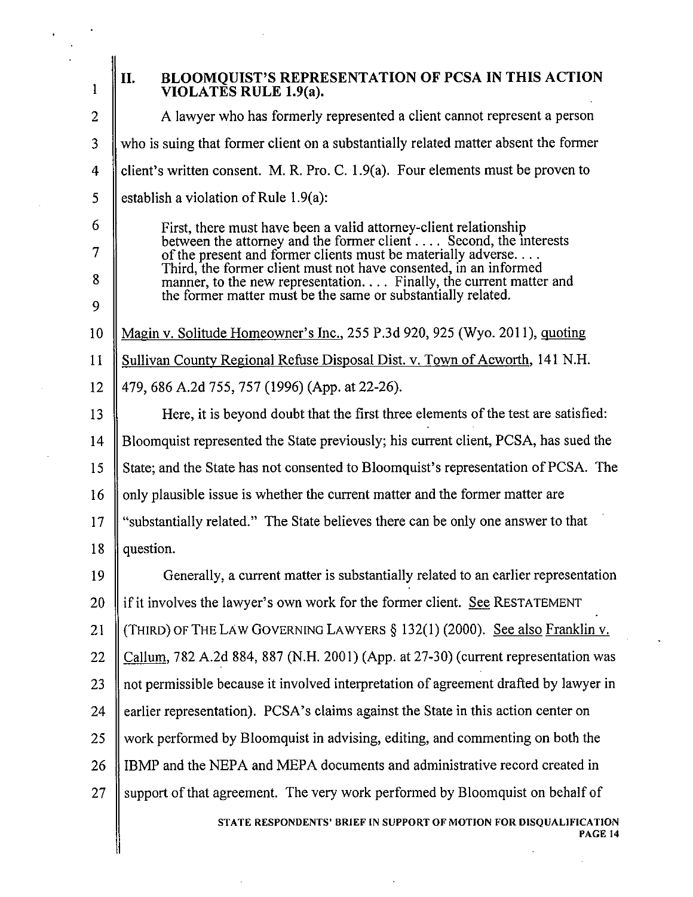| $\mathbf{1}$   | II.<br>BLOOMQUIST'S REPRESENTATION OF PCSA IN THIS ACTION<br>VIOLATES RULE 1.9(a).                                                         |
|----------------|--------------------------------------------------------------------------------------------------------------------------------------------|
| $\overline{2}$ | A lawyer who has formerly represented a client cannot represent a person                                                                   |
| 3              | who is suing that former client on a substantially related matter absent the former                                                        |
| 4              | client's written consent. M. R. Pro. C. 1.9(a). Four elements must be proven to                                                            |
| 5              | establish a violation of Rule 1.9(a):                                                                                                      |
| 6              | First, there must have been a valid attorney-client relationship                                                                           |
| 7              | between the attorney and the former client $\dots$ . Second, the interests<br>of the present and former clients must be materially adverse |
| 8              | Third, the former client must not have consented, in an informed<br>manner, to the new representation. Finally, the current matter and     |
| 9              | the former matter must be the same or substantially related.                                                                               |
| 10             | Magin v. Solitude Homeowner's Inc., 255 P.3d 920, 925 (Wyo. 2011), quoting                                                                 |
| 11             | Sullivan County Regional Refuse Disposal Dist. v. Town of Acworth, 141 N.H.                                                                |
| 12             | 479, 686 A.2d 755, 757 (1996) (App. at 22-26).                                                                                             |
| 13             | Here, it is beyond doubt that the first three elements of the test are satisfied:                                                          |
| 14             | Bloomquist represented the State previously; his current client, PCSA, has sued the                                                        |
| 15             | State; and the State has not consented to Bloomquist's representation of PCSA. The                                                         |
| 16             | only plausible issue is whether the current matter and the former matter are                                                               |
| 17             | "substantially related." The State believes there can be only one answer to that                                                           |
| 18             | question.                                                                                                                                  |
| 19             | Generally, a current matter is substantially related to an earlier representation                                                          |
| 20             | if it involves the lawyer's own work for the former client. See RESTATEMENT                                                                |
| 21             | (THIRD) OF THE LAW GOVERNING LAWYERS § 132(1) (2000). See also Franklin v.                                                                 |
| 22             | Callum, 782 A.2d 884, 887 (N.H. 2001) (App. at 27-30) (current representation was                                                          |
| 23             | not permissible because it involved interpretation of agreement drafted by lawyer in                                                       |
| 24             | earlier representation). PCSA's claims against the State in this action center on                                                          |
| 25             | work performed by Bloomquist in advising, editing, and commenting on both the                                                              |
| 26             | IBMP and the NEPA and MEPA documents and administrative record created in                                                                  |
| 27             | support of that agreement. The very work performed by Bloomquist on behalf of                                                              |
|                | STATE RESPONDENTS' BRIEF IN SUPPORT OF MOTION FOR DISQUALIFICATION<br>PAGE 14                                                              |
|                |                                                                                                                                            |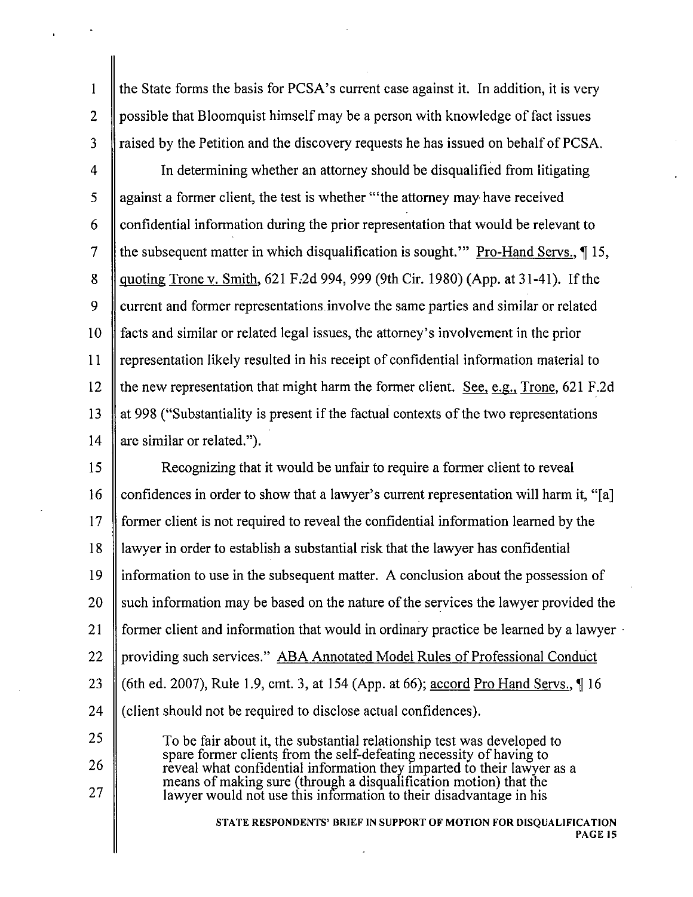the State forms the basis for PCSA's current case against it. In addition, it is very possible that Bloomquist himself may be a person with knowledge of fact issues raised by the Petition and the discovery requests he has issued on behalf of PCSA.

4 5 6 7 8 9 10 II 12 13 14 In determining whether an attorney should be disqualified from litigating against a former client, the test is whether "'the attorney may have received confidential information during the prior representation that would be relevant to the subsequent matter in which disqualification is sought." Pro-Hand Servs.,  $\P$  15, quoting Trone v. Smith, 621 F.2d 994, 999 (9th Cir. 1980) (App. at 31-41). If the current and former representations.involve the same parties and similar or related facts and similar or related legal issues, the attorney's involvement in the prior representation likely resulted in his receipt of confidential information material to the new representation that might harm the former client. See, e.g., Trone,  $621$  F.2d at 998 ("Substantiality is present if the factual contexts of the two representations are similar or related.").

IS 16 17 18 19 20 21 22 23 24 Recognizing that it would be unfair to require a former client to reveal confidences in order to show that a lawyer's current representation will harm it, "[a] former client is not required to reveal the confidential information learned by the lawyer in order to establish a substantial risk that the lawyer has confidential information to use in the subsequent matter. A conclusion about the possession of such information may be based on the nature of the services the lawyer provided the former client and information that would in ordinary practice be learned by a lawyer . providing such services." ABA Annotated Model Rules of Professional Conduct (6th ed. 2007), Rule 1.9, cmt. 3, at 154 (App. at 66); accord Pro Hand Servs.,  $\P$  16 (client should not be required to disclose actual confidences).

> To be fair about it, the substantial relationship test was developed to spare former clients from the self-defeating necessity of having to reveal what confidential information they imparted to their lawyer as a means of making sure (through a disqualification motion) that the lawyer would not use this information to their disadvantage in his

> > STATE RESPONDENTS' BRIEF IN SUPPORT OF MOTION FOR DISQUALIFICATION PAGE 15

25

2

 $\mathbf{1}$ 

3

- 
- 26
- 27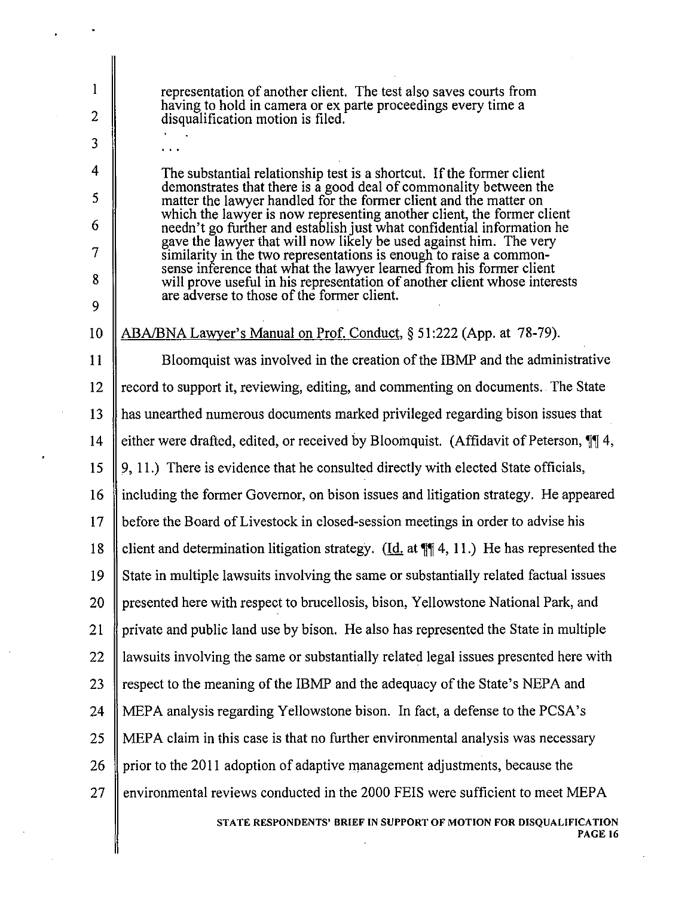representation of another client. The test also saves courts from having to hold in camera or ex parte proceedings every time a disqualification motion is filed.

2

 $\mathbf{1}$ 

3

4

5

6

7

8

9

The substantial relationship test is a shortcut. If the former client demonstrates that there is a good deal of commonality between the matter the lawyer handled for the former client and the matter on which the lawyer is now representing another client, the former client needn't go further and establish just what confidential information he gave the lawyer that will now likely be used against him. The very similarity in the two representations is enough to raise a commonsense inference that what the lawyer learned from his former client will prove useful in his representation of another client whose interests are adverse to those of the former client.

10 ABA/BNA Lawyer's Manual on Prof. Conduct, § 51:222 (App. at 78-79).

11 Bloomquist was involved in the creation ofthe IBMP and the administrative 12 record to support it, reviewing, editing, and commenting on documents. The State 13 has unearthed numerous documents marked privileged regarding bison issues that 14 either were drafted, edited, or received by Bloomquist. (Affidavit of Peterson,  $\P$  4, 15  $\parallel$  9, 11.) There is evidence that he consulted directly with elected State officials, 16 including the former Governor, on bison issues and litigation strategy. He appeared 17 before the Board ofLivestock in closed-session meetings in order to advise his 18 client and determination litigation strategy. (Id. at  $\mathbb{H}$  4, 11.) He has represented the 19 State in multiple lawsuits involving the same or substantially related factual issues 20 || presented here with respect to brucellosis, bison, Yellowstone National Park, and 21 private and public land use by bison. He also has represented the State in multiple 22 I lawsuits involving the same or substantially related legal issues presented here with 23 S respect to the meaning of the IBMP and the adequacy of the State's NEPA and 24 MEPA analysis regarding Yellowstone bison. In fact, a defense to the PCSA's 25 MEPA claim in this case is that no further environmental analysis was necessary 26 prior to the 2011 adoption of adaptive management adjustments, because the 27  $\parallel$  environmental reviews conducted in the 2000 FEIS were sufficient to meet MEPA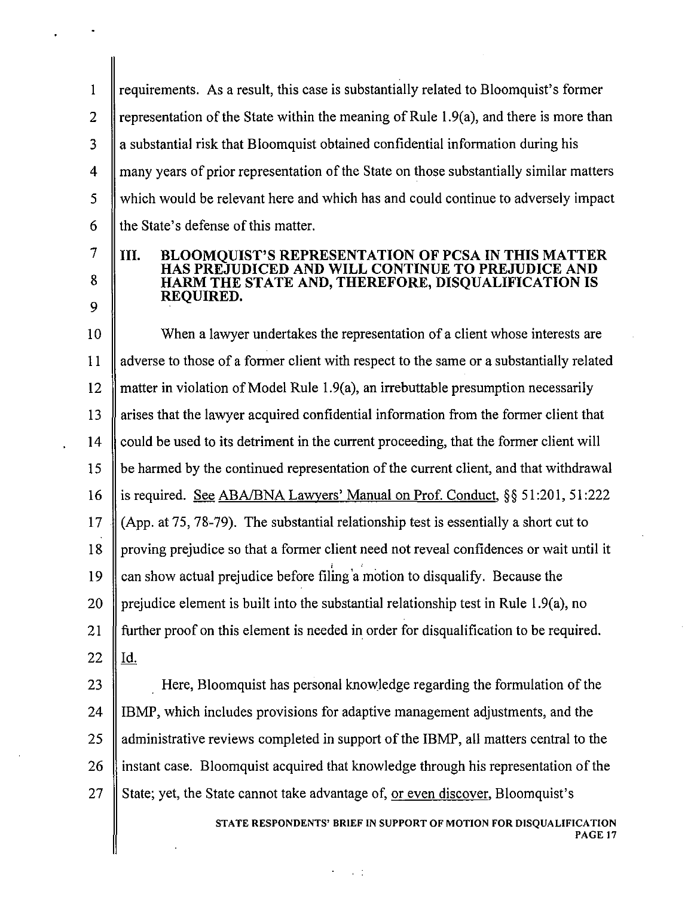requirements. As a result, this case is substantially related to Bloomquist's former 2 Fepresentation of the State within the meaning of Rule 1.9(a), and there is more than || a substantial risk that Bloomquist obtained confidential information during his 4 many years of prior representation of the State on those substantially similar matters which would be relevant here and which has and could continue to adversely impact  $\parallel$  the State's defense of this matter.

## III. BLOOMQUIST'S REPRESENTATION OF PCSA IN THIS MATTER HAS PREJUDICED AND WILL CONTINUE TO PREJUDICE AND HARM THE STATE AND, THEREFORE, DISQUALIFICATION IS REQUIRED.

7

8

9

10 When a lawyer undertakes the representation of a client whose interests are 11 adverse to those of a former client with respect to the same or a substantially related 12 matter in violation of Model Rule 1.9(a), an irrebuttable presumption necessarily 13 arises that the lawyer acquired confidential information from the former client that 14 could be used to its detriment in the current proceeding, that the former client will  $15 \parallel$  be harmed by the continued representation of the current client, and that withdrawal 16 | is required. See ABA/BNA Lawyers' Manual on Prof. Conduct, §§ 51:201, 51:222 17 (App. at 75, 78-79). The substantial relationship test is essentially a short cut to 18 proving prejudice so that a former client need not reveal confidences or wait until it 19  $\parallel$  can show actual prejudice before filing a motion to disqualify. Because the 20 || prejudice element is built into the substantial relationship test in Rule 1.9(a), no 21 further proof on this element is needed in order for disqualification to be required.  $22$  || Id.

23 **Here, Bloomquist has personal knowledge regarding the formulation of the** 24 I IBMP, which includes provisions for adaptive management adjustments, and the 25  $\parallel$  administrative reviews completed in support of the IBMP, all matters central to the 26 instant case. Bloomquist acquired that knowledge through his representation of the 27 State; yet, the State cannot take advantage of, or even discover, Bloomquist's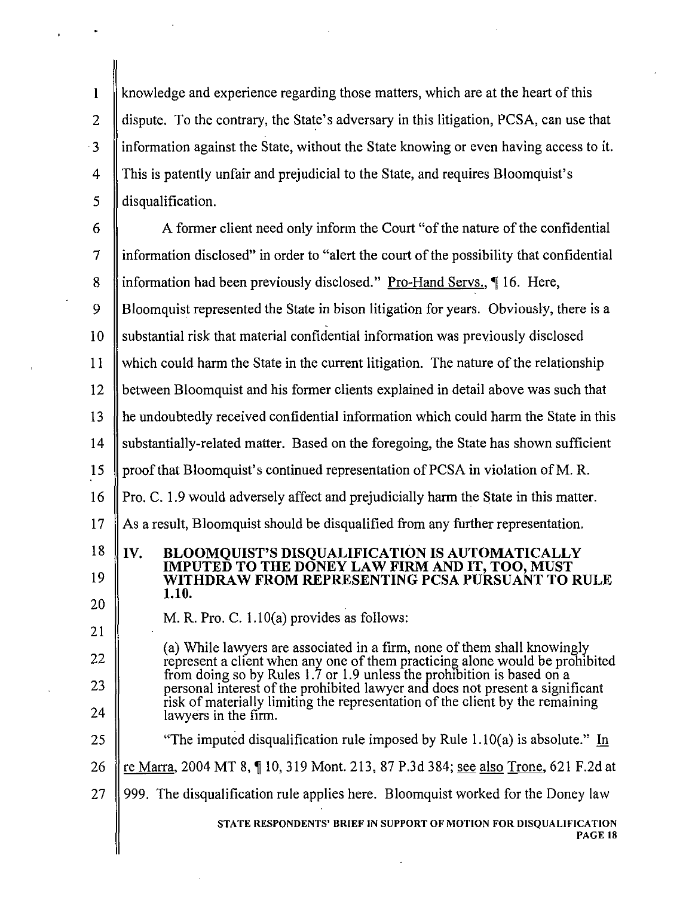I knowledge and experience regarding those matters, which are at the heart of this 2 dispute. To the contrary, the State's adversary in this litigation, PCSA, can use that  $\cdot$ 3 | information against the State, without the State knowing or even having access to it. 4 This is patently unfair and prejudicial to the State, and requires Bloomquist's  $\vert$  disqualification.

 $6 \parallel$  A former client need only inform the Court "of the nature of the confidential  $\mathcal{I}$  information disclosed" in order to "alert the court of the possibility that confidential 8 information had been previously disclosed." Pro-Hand Servs., 16. Here, 9 Bloomquist represented the State in bison litigation for years. Obviously, there is a . 10 Substantial risk that material confidential information was previously disclosed  $11$  which could harm the State in the current litigation. The nature of the relationship 12 between Bloomquist and his former clients explained in detail above was such that 13 he undoubtedly received confidential information which could harm the State in this 14 Substantially-related matter. Based on the foregoing, the State has shown sufficient 15 | proof that Bloomquist's continued representation of PCSA in violation of M. R. 16 Pro. C. 1.9 would adversely affect and prejudicially harm the State in this matter.  $17$  As a result, Bloomquist should be disqualified from any further representation. re Marra, 2004 MT 8, 10, 319 Mont. 213, 87 P.3d 384; see also Trone, 621 F.2d at 18  $\parallel$  TV. 19 20 21 22 23 24 25 26 BLOOMQUIST'S DISQUALIFICATION IS AUTOMATICALLY IMPUTED TO THE DONEY LAW FIRM AND IT, TOO, MUST WITHDRAW FROM REPRESENTING PCSA PURSUANT TO RULE 1.10. M. R. Pro. C. 1.l0(a) provides as follows: (a) While lawyers are associated in a firm, none of them shall knowingly represent a client when any one of them practicing alone would be prohibited from doing so by Rules 1.7 or 1.9 unless the prohibition is based on a personal interest of the prohibited lawyer and does not present a significant risk of materially limiting the representation of the client by the remaining lawyers in the firm. "The imputed disqualification rule imposed by Rule  $1.10(a)$  is absolute." In 27  $\parallel$  999. The disqualification rule applies here. Bloomquist worked for the Doney law STATE RESPONDENTS' BRIEF IN SUPPORT OF MOTION FOR DISQUALIFICATION PAGE 18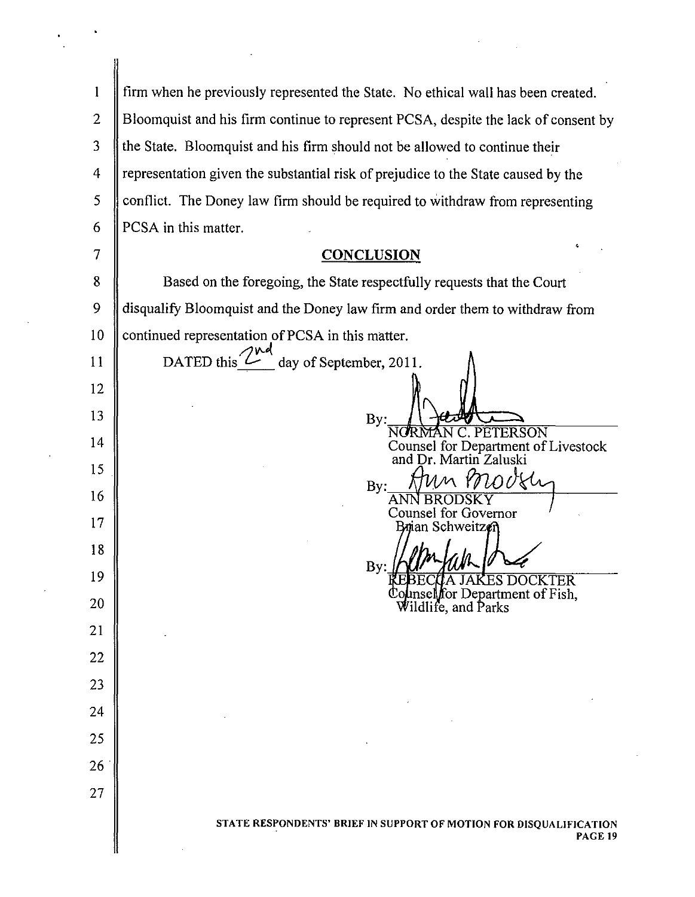|                | firm when he previously represented the State. No ethical wall has been created.   |
|----------------|------------------------------------------------------------------------------------|
| $\overline{2}$ | Bloomquist and his firm continue to represent PCSA, despite the lack of consent by |
| 3              | the State. Bloomquist and his firm should not be allowed to continue their         |
| 4              | representation given the substantial risk of prejudice to the State caused by the  |
| 5              | conflict. The Doney law firm should be required to withdraw from representing      |
| 6              | PCSA in this matter.                                                               |
|                | <b>CONCLUSION</b>                                                                  |
| 8              | Based on the foregoing, the State respectfully requests that the Court             |
| 9              | disqualify Bloomquist and the Doney law firm and order them to withdraw from       |
| 10             | continued representation of PCSA in this matter.<br>7 IN 21                        |

II

12

13

14

IS

16

17

18

19

20

21

22

23

24

25

26

27

DATED this  $\mathbb{Z}_{-}^{\mathbb{N}^{d}}$  day of September, 2011.  $By:$   $\left| \sqrt{2\pi/2} \right|$ <br>NORMAN C. PETERSON Counsel for Department of Livestock and Dr. Martin Zaluski  $B_{\text{By}:}$  Ann Provely Counsel for Governor<br>Brian Schweitzen By:

**JAKES DOCKTER** ounsel for Department of Fish,<br>Wildlife, and Parks đ